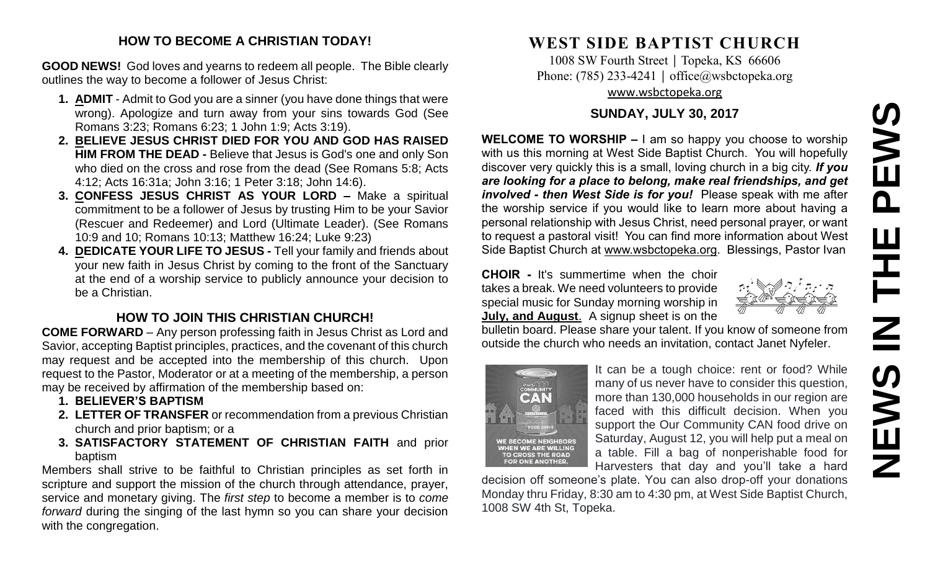# **NEWS IN THE PEWS**PEWS  $\mathbf{u}$  $\overline{\mathbf{Z}}$ **SWEN**

## **HOW TO BECOME A CHRISTIAN TODAY!**

**GOOD NEWS!** God loves and yearns to redeem all people. The Bible clearly outlines the way to become a follower of Jesus Christ:

- **1. ADMIT** Admit to God you are a sinner (you have done things that were wrong). Apologize and turn away from your sins towards God (See Romans 3:23; Romans 6:23; 1 John 1:9; Acts 3:19).
- **2. BELIEVE JESUS CHRIST DIED FOR YOU AND GOD HAS RAISED HIM FROM THE DEAD -** Believe that Jesus is God's one and only Son who died on the cross and rose from the dead (See Romans 5:8; Acts 4:12; Acts 16:31a; John 3:16; 1 Peter 3:18; John 14:6).
- **3. CONFESS JESUS CHRIST AS YOUR LORD –** Make a spiritual commitment to be a follower of Jesus by trusting Him to be your Savior (Rescuer and Redeemer) and Lord (Ultimate Leader). (See Romans 10:9 and 10; Romans 10:13; Matthew 16:24; Luke 9:23)
- **4. DEDICATE YOUR LIFE TO JESUS -** Tell your family and friends about your new faith in Jesus Christ by coming to the front of the Sanctuary at the end of a worship service to publicly announce your decision to be a Christian.

# **HOW TO JOIN THIS CHRISTIAN CHURCH!**

**COME FORWARD** – Any person professing faith in Jesus Christ as Lord and Savior, accepting Baptist principles, practices, and the covenant of this church may request and be accepted into the membership of this church. Upon request to the Pastor, Moderator or at a meeting of the membership, a person may be received by affirmation of the membership based on:

- **1. BELIEVER'S BAPTISM**
- **2. LETTER OF TRANSFER** or recommendation from a previous Christian church and prior baptism; or a
- **3. SATISFACTORY STATEMENT OF CHRISTIAN FAITH** and prior baptism

Members shall strive to be faithful to Christian principles as set forth in scripture and support the mission of the church through attendance, prayer, service and monetary giving. The *first step* to become a member is to *come forward* during the singing of the last hymn so you can share your decision with the congregation.

# **WEST SIDE BAPTIST CHURCH**

1008 SW Fourth Street | Topeka, KS 66606 Phone: (785) 233-4241 │ [office@wsbctopeka.org](mailto:office@wsbctopeka.org) [www.wsbctopeka.org](http://www.wsbctopeka.org/)

# **SUNDAY, JULY 30, 2017**

**WELCOME TO WORSHIP –** I am so happy you choose to worship with us this morning at West Side Baptist Church. You will hopefully discover very quickly this is a small, loving church in a big city. *If you are looking for a place to belong, make real friendships, and get involved - then West Side is for you!* Please speak with me after the worship service if you would like to learn more about having a personal relationship with Jesus Christ, need personal prayer, or want to request a pastoral visit! You can find more information about West Side Baptist Church at [www.wsbctopeka.org.](http://www.wsbctopeka.org/) Blessings, Pastor Ivan

**CHOIR -** It's summertime when the choir takes a break. We need volunteers to provide special music for Sunday morning worship in **July, and August**. A signup sheet is on the

bulletin board. Please share your talent. If you know of someone from outside the church who needs an invitation, contact Janet Nyfeler.



It can be a tough choice: rent or food? While many of us never have to consider this question, more than 130,000 households in our region are faced with this difficult decision. When you support the Our Community CAN food drive on Saturday, August 12, you will help put a meal on a table. Fill a bag of nonperishable food for Harvesters that day and you'll take a hard

decision off someone's plate. You can also drop-off your donations Monday thru Friday, 8:30 am to 4:30 pm, at West Side Baptist Church, 1008 SW 4th St, Topeka.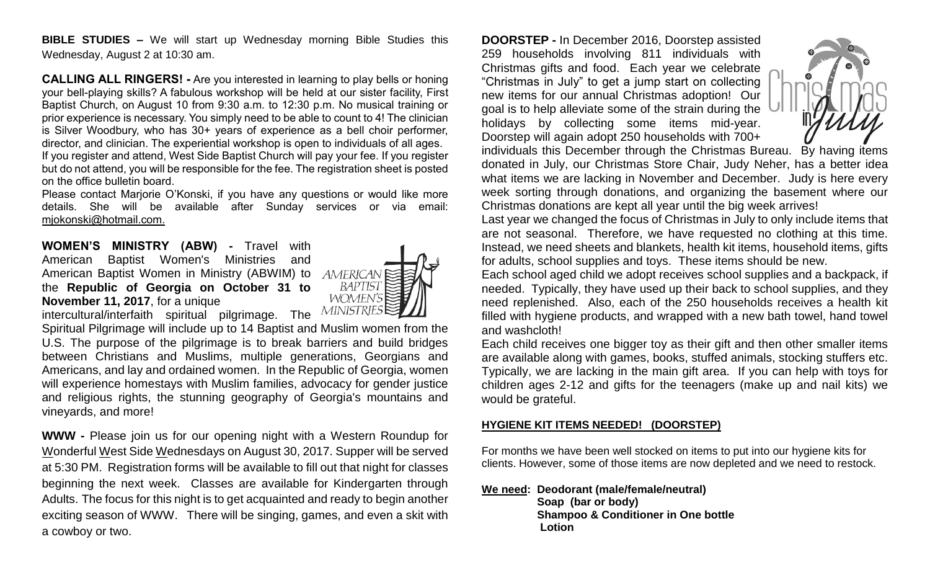**BIBLE STUDIES –** We will start up Wednesday morning Bible Studies this Wednesday, August 2 at 10:30 am.

**CALLING ALL RINGERS! -** Are you interested in learning to play bells or honing your bell-playing skills? A fabulous workshop will be held at our sister facility, First Baptist Church, on August 10 from 9:30 a.m. to 12:30 p.m. No musical training or prior experience is necessary. You simply need to be able to count to 4! The clinician is Silver Woodbury, who has 30+ years of experience as a bell choir performer, director, and clinician. The experiential workshop is open to individuals of all ages. If you register and attend, West Side Baptist Church will pay your fee. If you register but do not attend, you will be responsible for the fee. The registration sheet is posted on the office bulletin board.

Please contact Marjorie O'Konski, if you have any questions or would like more details. She will be available after Sunday services or via email: mjokonski@hotmail.com.

**WOMEN'S MINISTRY (ABW) -** Travel with American Baptist Women's Ministries and American Baptist Women in Ministry (ABWIM) to the **Republic of Georgia on October 31 to November 11, 2017**, for a unique



intercultural/interfaith spiritual pilgrimage. The **MINISTRIES** Spiritual Pilgrimage will include up to 14 Baptist and Muslim women from the U.S. The purpose of the pilgrimage is to break barriers and build bridges between Christians and Muslims, multiple generations, Georgians and Americans, and lay and ordained women. In the Republic of Georgia, women will experience homestays with Muslim families, advocacy for gender justice and religious rights, the stunning geography of Georgia's mountains and vineyards, and more!

**WWW -** Please join us for our opening night with a Western Roundup for Wonderful West Side Wednesdays on August 30, 2017. Supper will be served at 5:30 PM. Registration forms will be available to fill out that night for classes beginning the next week. Classes are available for Kindergarten through Adults. The focus for this night is to get acquainted and ready to begin another exciting season of WWW. There will be singing, games, and even a skit with a cowboy or two.

**DOORSTEP -** In December 2016, Doorstep assisted 259 households involving 811 individuals with Christmas gifts and food. Each year we celebrate "Christmas in July" to get a jump start on collecting new items for our annual Christmas adoption! Our goal is to help alleviate some of the strain during the holidays by collecting some items mid-year. Doorstep will again adopt 250 households with 700+



individuals this December through the Christmas Bureau. By having items donated in July, our Christmas Store Chair, Judy Neher, has a better idea what items we are lacking in November and December. Judy is here every week sorting through donations, and organizing the basement where our Christmas donations are kept all year until the big week arrives!

Last year we changed the focus of Christmas in July to only include items that are not seasonal. Therefore, we have requested no clothing at this time. Instead, we need sheets and blankets, health kit items, household items, gifts for adults, school supplies and toys. These items should be new.

Each school aged child we adopt receives school supplies and a backpack, if needed. Typically, they have used up their back to school supplies, and they need replenished. Also, each of the 250 households receives a health kit filled with hygiene products, and wrapped with a new bath towel, hand towel and washcloth!

Each child receives one bigger toy as their gift and then other smaller items are available along with games, books, stuffed animals, stocking stuffers etc. Typically, we are lacking in the main gift area. If you can help with toys for children ages 2-12 and gifts for the teenagers (make up and nail kits) we would be grateful.

#### **HYGIENE KIT ITEMS NEEDED! (DOORSTEP)**

For months we have been well stocked on items to put into our hygiene kits for clients. However, some of those items are now depleted and we need to restock.

#### **We need: Deodorant (male/female/neutral)**

 **Soap (bar or body) Shampoo & Conditioner in One bottle Lotion**